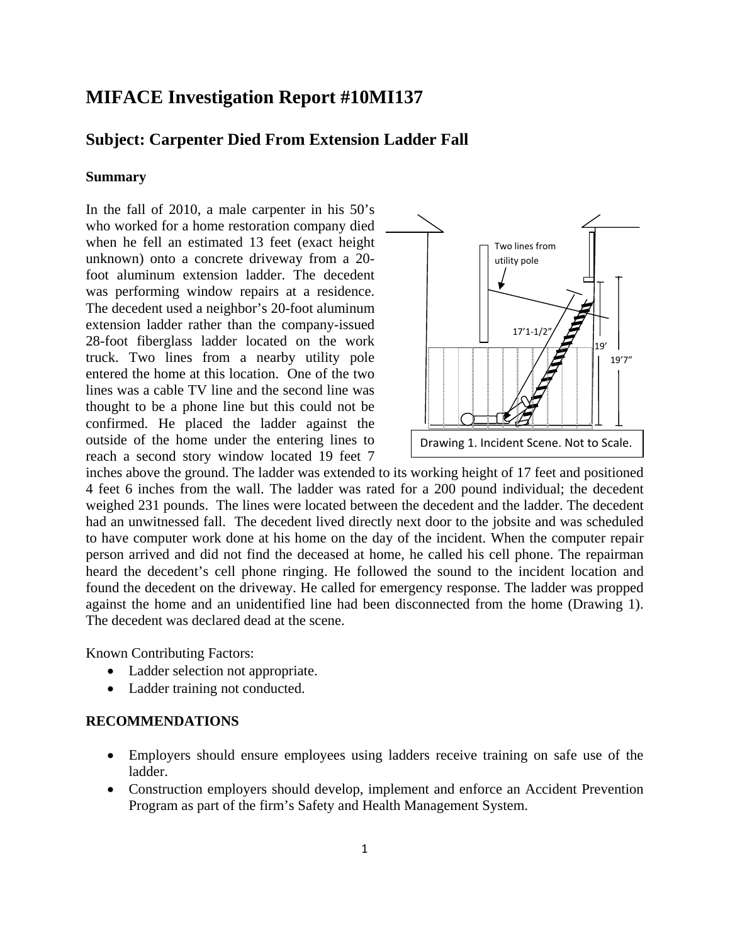# **MIFACE Investigation Report #10MI137**

# **Subject: Carpenter Died From Extension Ladder Fall**

### **Summary**

In the fall of 2010, a male carpenter in his 50's who worked for a home restoration company died when he fell an estimated 13 feet (exact height unknown) onto a concrete driveway from a 20 foot aluminum extension ladder. The decedent was performing window repairs at a residence. The decedent used a neighbor's 20-foot aluminum extension ladder rather than the company-issued 28-foot fiberglass ladder located on the work truck. Two lines from a nearby utility pole entered the home at this location. One of the two lines was a cable TV line and the second line was thought to be a phone line but this could not be confirmed. He placed the ladder against the outside of the home under the entering lines to reach a second story window located 19 feet 7



inches above the ground. The ladder was extended to its working height of 17 feet and positioned 4 feet 6 inches from the wall. The ladder was rated for a 200 pound individual; the decedent weighed 231 pounds. The lines were located between the decedent and the ladder. The decedent had an unwitnessed fall. The decedent lived directly next door to the jobsite and was scheduled to have computer work done at his home on the day of the incident. When the computer repair person arrived and did not find the deceased at home, he called his cell phone. The repairman heard the decedent's cell phone ringing. He followed the sound to the incident location and found the decedent on the driveway. He called for emergency response. The ladder was propped against the home and an unidentified line had been disconnected from the home (Drawing 1). The decedent was declared dead at the scene.

Known Contributing Factors:

- Ladder selection not appropriate.
- Ladder training not conducted.

#### **RECOMMENDATIONS**

- Employers should ensure employees using ladders receive training on safe use of the ladder.
- Construction employers should develop, implement and enforce an Accident Prevention Program as part of the firm's Safety and Health Management System.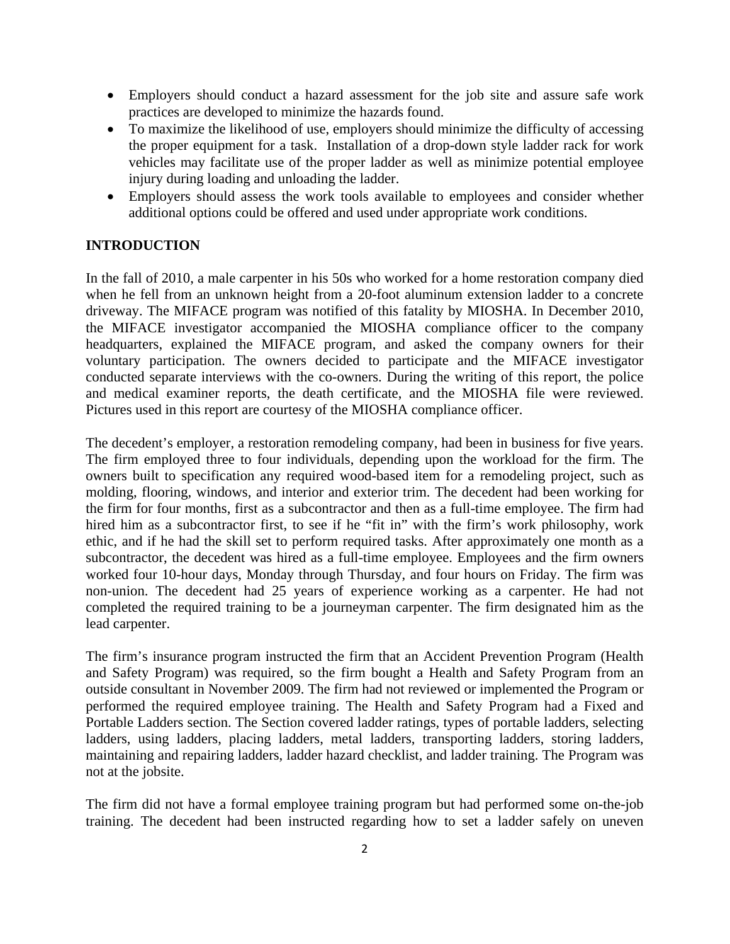- Employers should conduct a hazard assessment for the job site and assure safe work practices are developed to minimize the hazards found.
- To maximize the likelihood of use, employers should minimize the difficulty of accessing the proper equipment for a task. Installation of a drop-down style ladder rack for work vehicles may facilitate use of the proper ladder as well as minimize potential employee injury during loading and unloading the ladder.
- • Employers should assess the work tools available to employees and consider whether additional options could be offered and used under appropriate work conditions.

### **INTRODUCTION**

In the fall of 2010, a male carpenter in his 50s who worked for a home restoration company died when he fell from an unknown height from a 20-foot aluminum extension ladder to a concrete driveway. The MIFACE program was notified of this fatality by MIOSHA. In December 2010, the MIFACE investigator accompanied the MIOSHA compliance officer to the company headquarters, explained the MIFACE program, and asked the company owners for their voluntary participation. The owners decided to participate and the MIFACE investigator conducted separate interviews with the co-owners. During the writing of this report, the police and medical examiner reports, the death certificate, and the MIOSHA file were reviewed. Pictures used in this report are courtesy of the MIOSHA compliance officer.

The decedent's employer, a restoration remodeling company, had been in business for five years. The firm employed three to four individuals, depending upon the workload for the firm. The owners built to specification any required wood-based item for a remodeling project, such as molding, flooring, windows, and interior and exterior trim. The decedent had been working for the firm for four months, first as a subcontractor and then as a full-time employee. The firm had hired him as a subcontractor first, to see if he "fit in" with the firm's work philosophy, work ethic, and if he had the skill set to perform required tasks. After approximately one month as a subcontractor, the decedent was hired as a full-time employee. Employees and the firm owners worked four 10-hour days, Monday through Thursday, and four hours on Friday. The firm was non-union. The decedent had 25 years of experience working as a carpenter. He had not completed the required training to be a journeyman carpenter. The firm designated him as the lead carpenter.

The firm's insurance program instructed the firm that an Accident Prevention Program (Health and Safety Program) was required, so the firm bought a Health and Safety Program from an outside consultant in November 2009. The firm had not reviewed or implemented the Program or performed the required employee training. The Health and Safety Program had a Fixed and Portable Ladders section. The Section covered ladder ratings, types of portable ladders, selecting ladders, using ladders, placing ladders, metal ladders, transporting ladders, storing ladders, maintaining and repairing ladders, ladder hazard checklist, and ladder training. The Program was not at the jobsite.

The firm did not have a formal employee training program but had performed some on-the-job training. The decedent had been instructed regarding how to set a ladder safely on uneven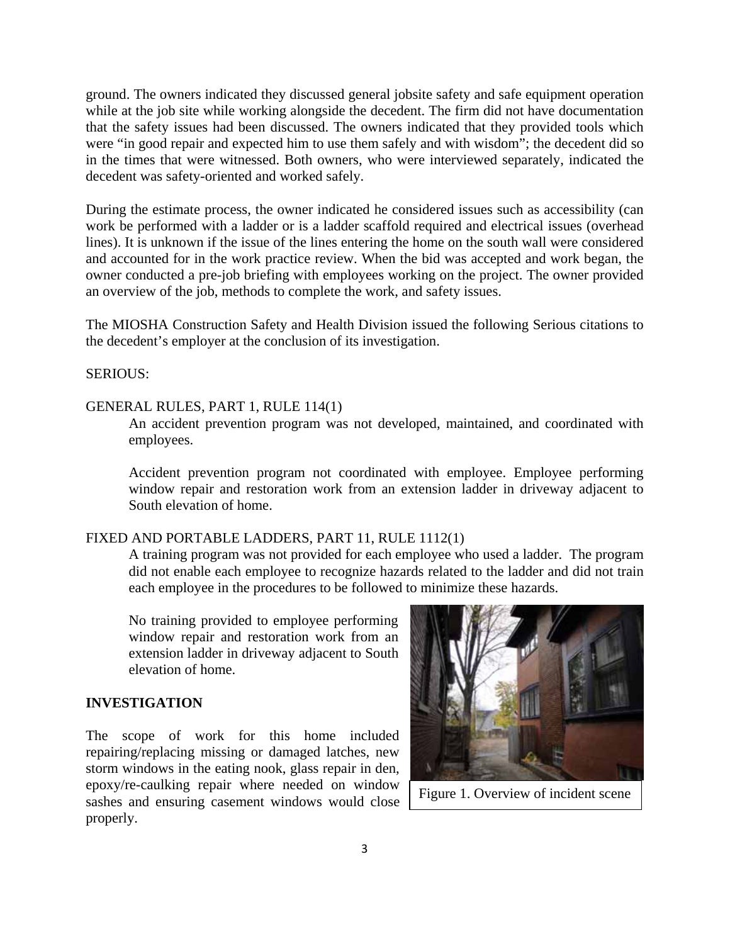ground. The owners indicated they discussed general jobsite safety and safe equipment operation while at the job site while working alongside the decedent. The firm did not have documentation that the safety issues had been discussed. The owners indicated that they provided tools which were "in good repair and expected him to use them safely and with wisdom"; the decedent did so in the times that were witnessed. Both owners, who were interviewed separately, indicated the decedent was safety-oriented and worked safely.

During the estimate process, the owner indicated he considered issues such as accessibility (can work be performed with a ladder or is a ladder scaffold required and electrical issues (overhead lines). It is unknown if the issue of the lines entering the home on the south wall were considered and accounted for in the work practice review. When the bid was accepted and work began, the owner conducted a pre-job briefing with employees working on the project. The owner provided an overview of the job, methods to complete the work, and safety issues.

The MIOSHA Construction Safety and Health Division issued the following Serious citations to the decedent's employer at the conclusion of its investigation.

## SERIOUS:

#### GENERAL RULES, PART 1, RULE 114(1)

An accident prevention program was not developed, maintained, and coordinated with employees.

Accident prevention program not coordinated with employee. Employee performing window repair and restoration work from an extension ladder in driveway adjacent to South elevation of home.

### FIXED AND PORTABLE LADDERS, PART 11, RULE 1112(1)

A training program was not provided for each employee who used a ladder. The program did not enable each employee to recognize hazards related to the ladder and did not train each employee in the procedures to be followed to minimize these hazards.

No training provided to employee performing window repair and restoration work from an extension ladder in driveway adjacent to South elevation of home.

#### **INVESTIGATION**

The scope of work for this home included repairing/replacing missing or damaged latches, new storm windows in the eating nook, glass repair in den, epoxy/re-caulking repair where needed on window sashes and ensuring casement windows would close properly.



Figure 1. Overview of incident scene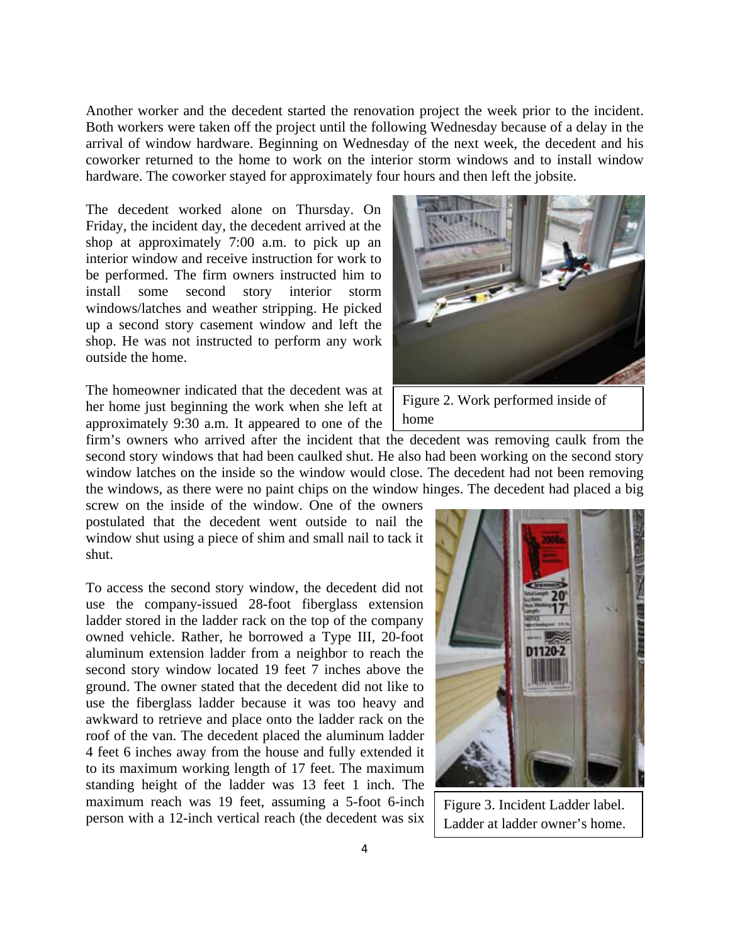Another worker and the decedent started the renovation project the week prior to the incident. Both workers were taken off the project until the following Wednesday because of a delay in the arrival of window hardware. Beginning on Wednesday of the next week, the decedent and his coworker returned to the home to work on the interior storm windows and to install window hardware. The coworker stayed for approximately four hours and then left the jobsite.

The decedent worked alone on Thursday. On Friday, the incident day, the decedent arrived at the shop at approximately 7:00 a.m. to pick up an interior window and receive instruction for work to be performed. The firm owners instructed him to install some second story interior storm windows/latches and weather stripping. He picked up a second story casement window and left the shop. He was not instructed to perform any work outside the home.

The homeowner indicated that the decedent was at her home just beginning the work when she left at approximately 9:30 a.m. It appeared to one of the

firm's owners who arrived after the incident that the decedent was removing caulk from the second story windows that had been caulked shut. He also had been working on the second story window latches on the inside so the window would close. The decedent had not been removing the windows, as there were no paint chips on the window hinges. The decedent had placed a big

screw on the inside of the window. One of the owners postulated that the decedent went outside to nail the window shut using a piece of shim and small nail to tack it shut.

To access the second story window, the decedent did not use the company-issued 28-foot fiberglass extension ladder stored in the ladder rack on the top of the company owned vehicle. Rather, he borrowed a Type III, 20-foot aluminum extension ladder from a neighbor to reach the second story window located 19 feet 7 inches above the ground. The owner stated that the decedent did not like to use the fiberglass ladder because it was too heavy and awkward to retrieve and place onto the ladder rack on the roof of the van. The decedent placed the aluminum ladder 4 feet 6 inches away from the house and fully extended it to its maximum working length of 17 feet. The maximum standing height of the ladder was 13 feet 1 inch. The maximum reach was 19 feet, assuming a 5-foot 6-inch person with a 12-inch vertical reach (the decedent was six



Figure 2. Work performed inside of home



Figure 3. Incident Ladder label. Ladder at ladder owner's home.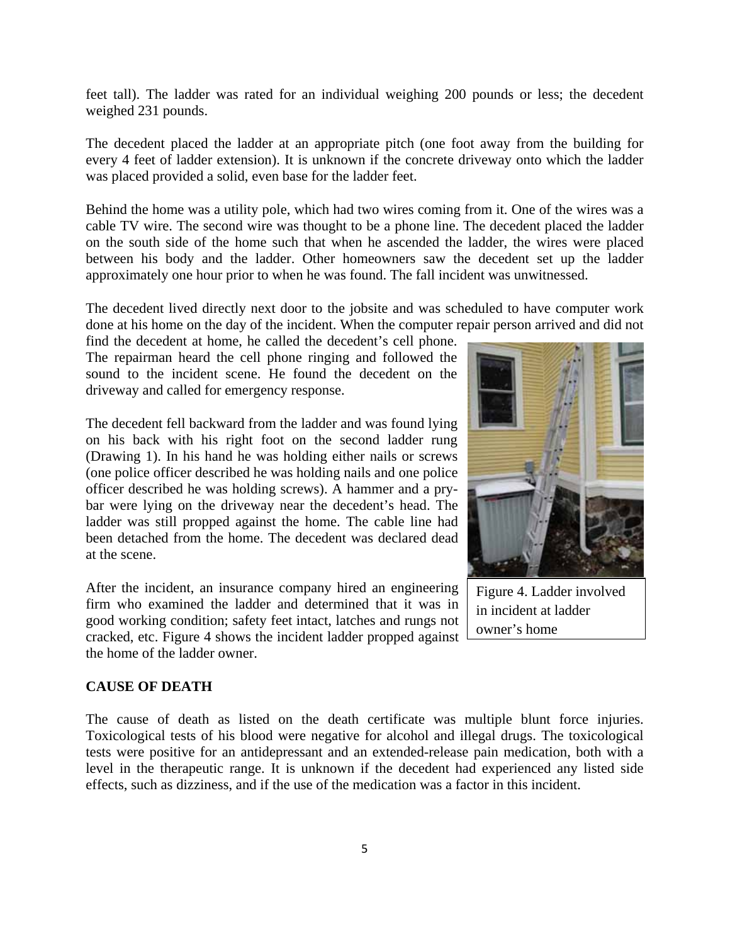feet tall). The ladder was rated for an individual weighing 200 pounds or less; the decedent weighed 231 pounds.

The decedent placed the ladder at an appropriate pitch (one foot away from the building for every 4 feet of ladder extension). It is unknown if the concrete driveway onto which the ladder was placed provided a solid, even base for the ladder feet.

Behind the home was a utility pole, which had two wires coming from it. One of the wires was a cable TV wire. The second wire was thought to be a phone line. The decedent placed the ladder on the south side of the home such that when he ascended the ladder, the wires were placed between his body and the ladder. Other homeowners saw the decedent set up the ladder approximately one hour prior to when he was found. The fall incident was unwitnessed.

The decedent lived directly next door to the jobsite and was scheduled to have computer work done at his home on the day of the incident. When the computer repair person arrived and did not

find the decedent at home, he called the decedent's cell phone. The repairman heard the cell phone ringing and followed the sound to the incident scene. He found the decedent on the driveway and called for emergency response.

The decedent fell backward from the ladder and was found lying on his back with his right foot on the second ladder rung (Drawing 1). In his hand he was holding either nails or screws (one police officer described he was holding nails and one police officer described he was holding screws). A hammer and a prybar were lying on the driveway near the decedent's head. The ladder was still propped against the home. The cable line had been detached from the home. The decedent was declared dead at the scene.

After the incident, an insurance company hired an engineering firm who examined the ladder and determined that it was in good working condition; safety feet intact, latches and rungs not cracked, etc. Figure 4 shows the incident ladder propped against the home of the ladder owner.



Figure 4. Ladder involved in incident at ladder owner's home

#### **CAUSE OF DEATH**

The cause of death as listed on the death certificate was multiple blunt force injuries. Toxicological tests of his blood were negative for alcohol and illegal drugs. The toxicological tests were positive for an antidepressant and an extended-release pain medication, both with a level in the therapeutic range. It is unknown if the decedent had experienced any listed side effects, such as dizziness, and if the use of the medication was a factor in this incident.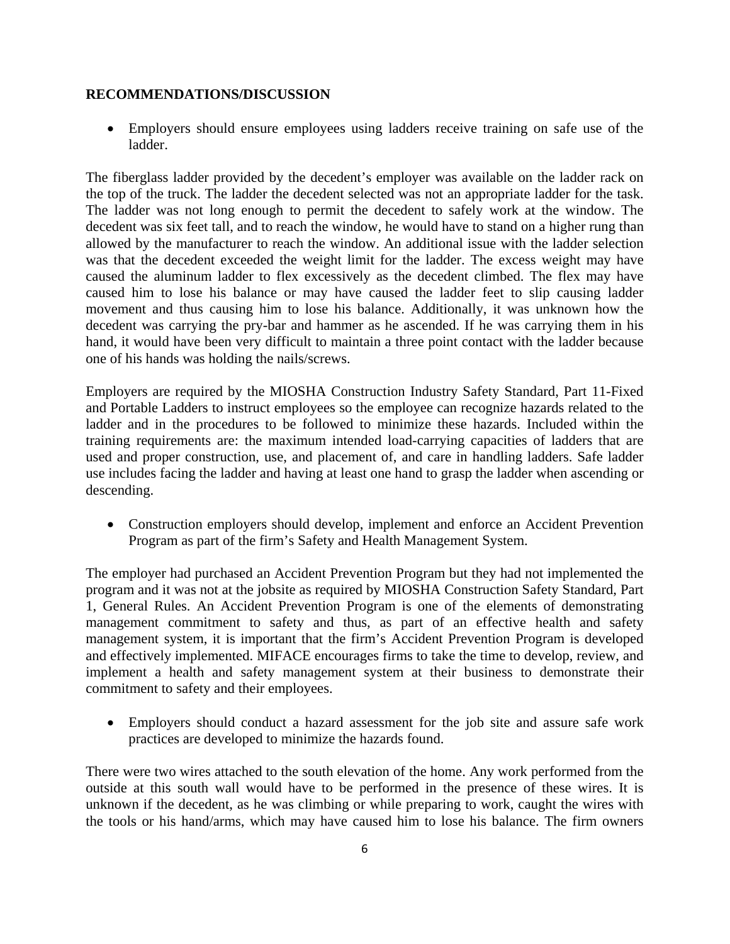### **RECOMMENDATIONS/DISCUSSION**

• Employers should ensure employees using ladders receive training on safe use of the ladder.

The fiberglass ladder provided by the decedent's employer was available on the ladder rack on the top of the truck. The ladder the decedent selected was not an appropriate ladder for the task. The ladder was not long enough to permit the decedent to safely work at the window. The decedent was six feet tall, and to reach the window, he would have to stand on a higher rung than allowed by the manufacturer to reach the window. An additional issue with the ladder selection was that the decedent exceeded the weight limit for the ladder. The excess weight may have caused the aluminum ladder to flex excessively as the decedent climbed. The flex may have caused him to lose his balance or may have caused the ladder feet to slip causing ladder movement and thus causing him to lose his balance. Additionally, it was unknown how the decedent was carrying the pry-bar and hammer as he ascended. If he was carrying them in his hand, it would have been very difficult to maintain a three point contact with the ladder because one of his hands was holding the nails/screws.

Employers are required by the MIOSHA Construction Industry Safety Standard, Part 11-Fixed and Portable Ladders to instruct employees so the employee can recognize hazards related to the ladder and in the procedures to be followed to minimize these hazards. Included within the training requirements are: the maximum intended load-carrying capacities of ladders that are used and proper construction, use, and placement of, and care in handling ladders. Safe ladder use includes facing the ladder and having at least one hand to grasp the ladder when ascending or descending.

• Construction employers should develop, implement and enforce an Accident Prevention Program as part of the firm's Safety and Health Management System.

The employer had purchased an Accident Prevention Program but they had not implemented the program and it was not at the jobsite as required by MIOSHA Construction Safety Standard, Part 1, General Rules. An Accident Prevention Program is one of the elements of demonstrating management commitment to safety and thus, as part of an effective health and safety management system, it is important that the firm's Accident Prevention Program is developed and effectively implemented. MIFACE encourages firms to take the time to develop, review, and implement a health and safety management system at their business to demonstrate their commitment to safety and their employees.

• Employers should conduct a hazard assessment for the job site and assure safe work practices are developed to minimize the hazards found.

There were two wires attached to the south elevation of the home. Any work performed from the outside at this south wall would have to be performed in the presence of these wires. It is unknown if the decedent, as he was climbing or while preparing to work, caught the wires with the tools or his hand/arms, which may have caused him to lose his balance. The firm owners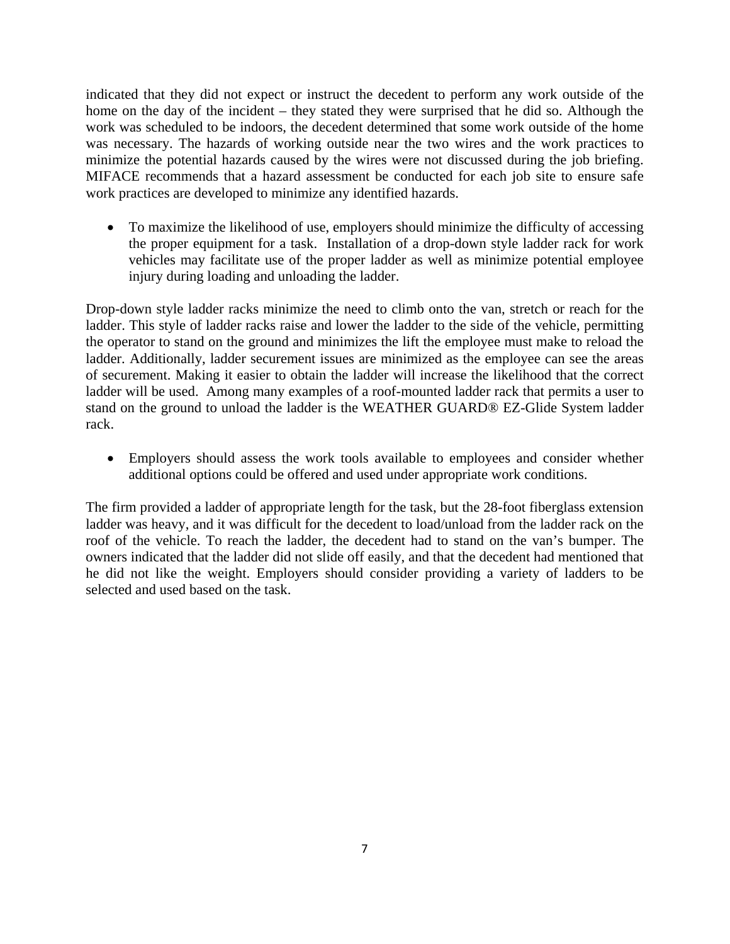indicated that they did not expect or instruct the decedent to perform any work outside of the home on the day of the incident – they stated they were surprised that he did so. Although the work was scheduled to be indoors, the decedent determined that some work outside of the home was necessary. The hazards of working outside near the two wires and the work practices to minimize the potential hazards caused by the wires were not discussed during the job briefing. MIFACE recommends that a hazard assessment be conducted for each job site to ensure safe work practices are developed to minimize any identified hazards.

• To maximize the likelihood of use, employers should minimize the difficulty of accessing the proper equipment for a task. Installation of a drop-down style ladder rack for work vehicles may facilitate use of the proper ladder as well as minimize potential employee injury during loading and unloading the ladder.

Drop-down style ladder racks minimize the need to climb onto the van, stretch or reach for the ladder. This style of ladder racks raise and lower the ladder to the side of the vehicle, permitting the operator to stand on the ground and minimizes the lift the employee must make to reload the ladder. Additionally, ladder securement issues are minimized as the employee can see the areas of securement. Making it easier to obtain the ladder will increase the likelihood that the correct ladder will be used. Among many examples of a roof-mounted ladder rack that permits a user to stand on the ground to unload the ladder is the WEATHER GUARD® EZ-Glide System ladder rack.

• Employers should assess the work tools available to employees and consider whether additional options could be offered and used under appropriate work conditions.

The firm provided a ladder of appropriate length for the task, but the 28-foot fiberglass extension ladder was heavy, and it was difficult for the decedent to load/unload from the ladder rack on the roof of the vehicle. To reach the ladder, the decedent had to stand on the van's bumper. The owners indicated that the ladder did not slide off easily, and that the decedent had mentioned that he did not like the weight. Employers should consider providing a variety of ladders to be selected and used based on the task.